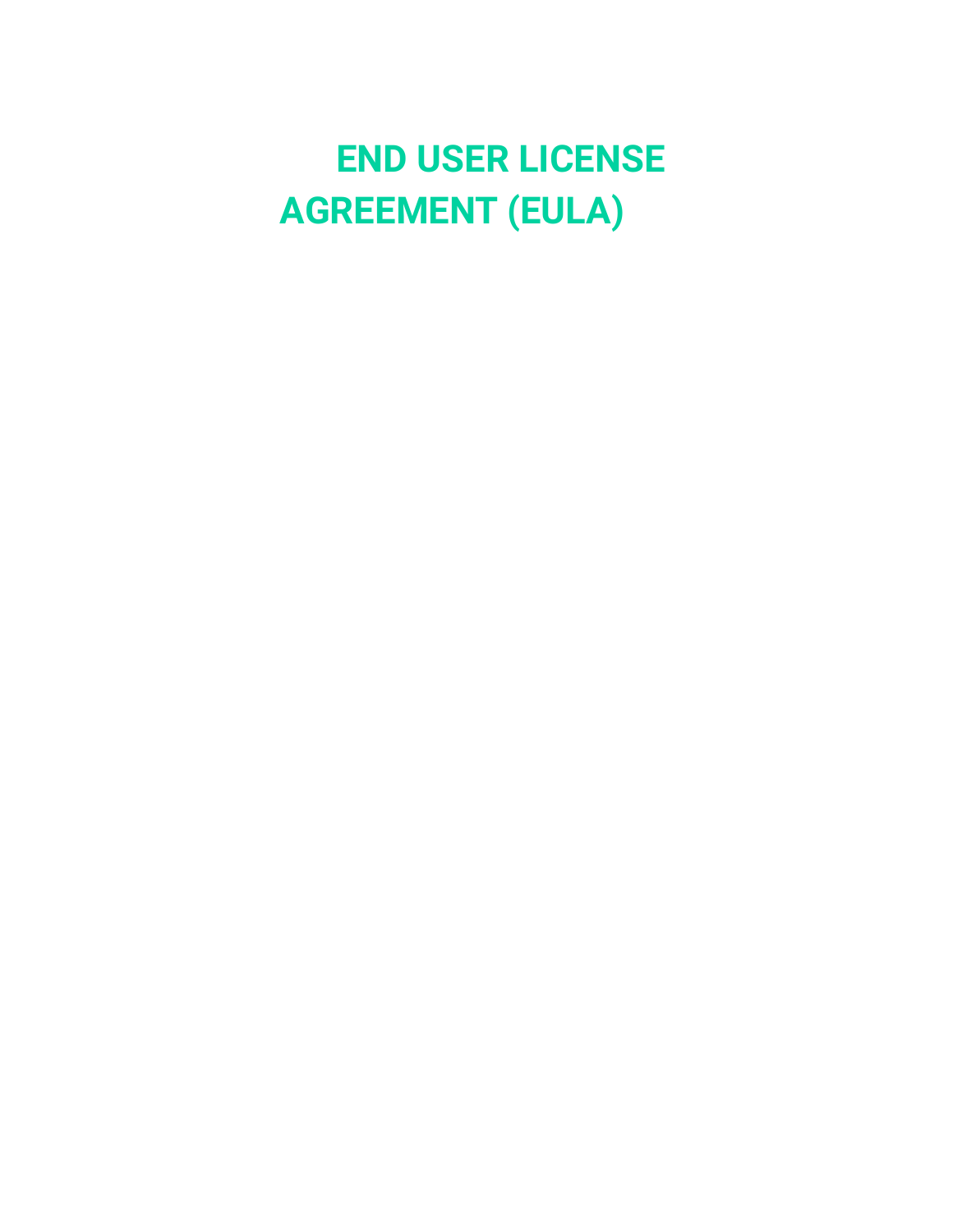# **END USER LICENSE AGREEMENT (EULA)**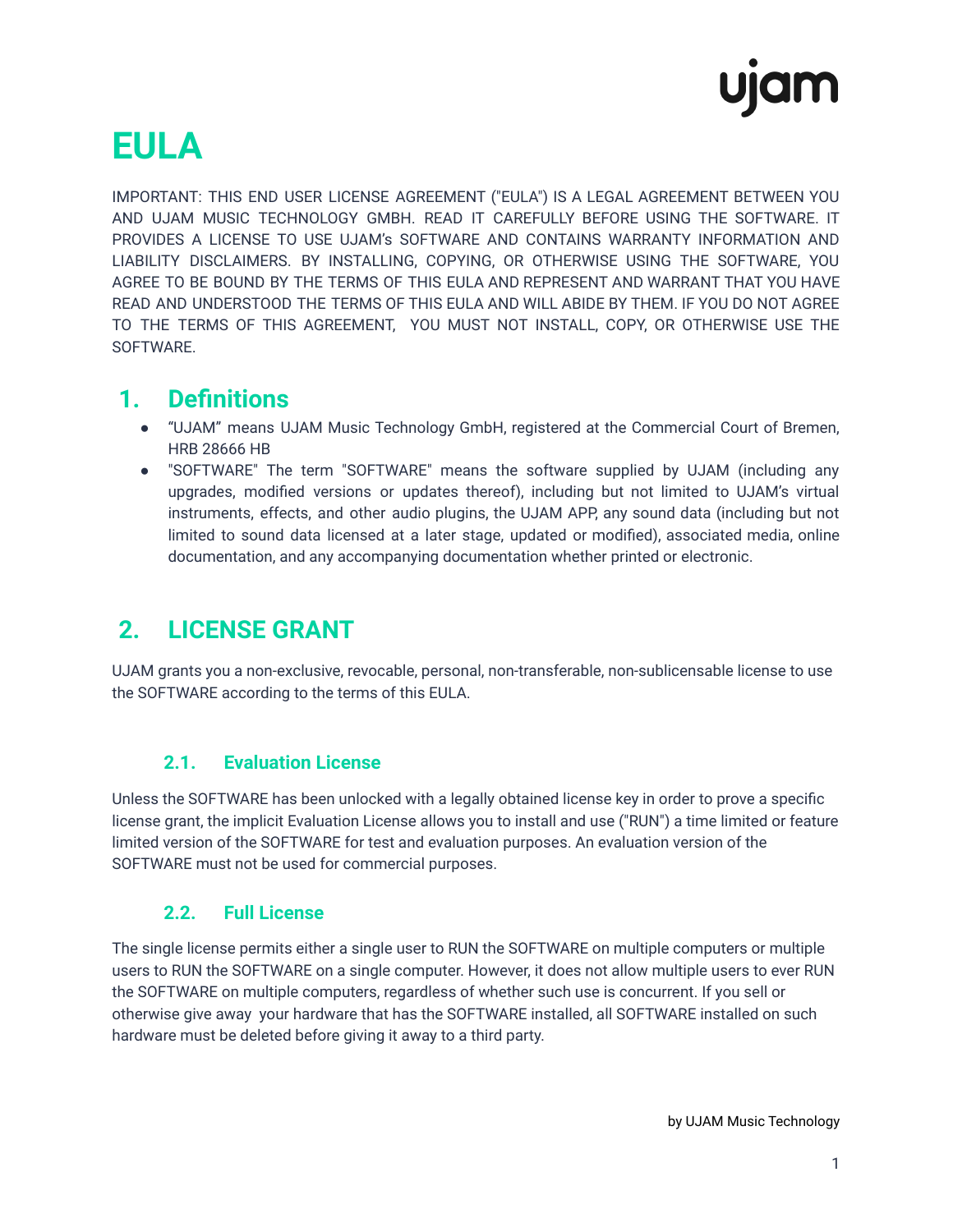# **EULA**

IMPORTANT: THIS END USER LICENSE AGREEMENT ("EULA") IS A LEGAL AGREEMENT BETWEEN YOU AND UJAM MUSIC TECHNOLOGY GMBH. READ IT CAREFULLY BEFORE USING THE SOFTWARE. IT PROVIDES A LICENSE TO USE UJAM's SOFTWARE AND CONTAINS WARRANTY INFORMATION AND LIABILITY DISCLAIMERS. BY INSTALLING, COPYING, OR OTHERWISE USING THE SOFTWARE, YOU AGREE TO BE BOUND BY THE TERMS OF THIS EULA AND REPRESENT AND WARRANT THAT YOU HAVE READ AND UNDERSTOOD THE TERMS OF THIS EULA AND WILL ABIDE BY THEM. IF YOU DO NOT AGREE TO THE TERMS OF THIS AGREEMENT, YOU MUST NOT INSTALL, COPY, OR OTHERWISE USE THE SOFTWARE.

#### **1. Definitions**

- "UJAM" means UJAM Music Technology GmbH, registered at the Commercial Court of Bremen, HRB 28666 HB
- "SOFTWARE" The term "SOFTWARE" means the software supplied by UJAM (including any upgrades, modified versions or updates thereof), including but not limited to UJAM's virtual instruments, effects, and other audio plugins, the UJAM APP, any sound data (including but not limited to sound data licensed at a later stage, updated or modified), associated media, online documentation, and any accompanying documentation whether printed or electronic.

## **2. LICENSE GRANT**

UJAM grants you a non-exclusive, revocable, personal, non-transferable, non-sublicensable license to use the SOFTWARE according to the terms of this EULA.

#### **2.1. Evaluation License**

Unless the SOFTWARE has been unlocked with a legally obtained license key in order to prove a specific license grant, the implicit Evaluation License allows you to install and use ("RUN") a time limited or feature limited version of the SOFTWARE for test and evaluation purposes. An evaluation version of the SOFTWARE must not be used for commercial purposes.

#### **2.2. Full License**

The single license permits either a single user to RUN the SOFTWARE on multiple computers or multiple users to RUN the SOFTWARE on a single computer. However, it does not allow multiple users to ever RUN the SOFTWARE on multiple computers, regardless of whether such use is concurrent. If you sell or otherwise give away your hardware that has the SOFTWARE installed, all SOFTWARE installed on such hardware must be deleted before giving it away to a third party.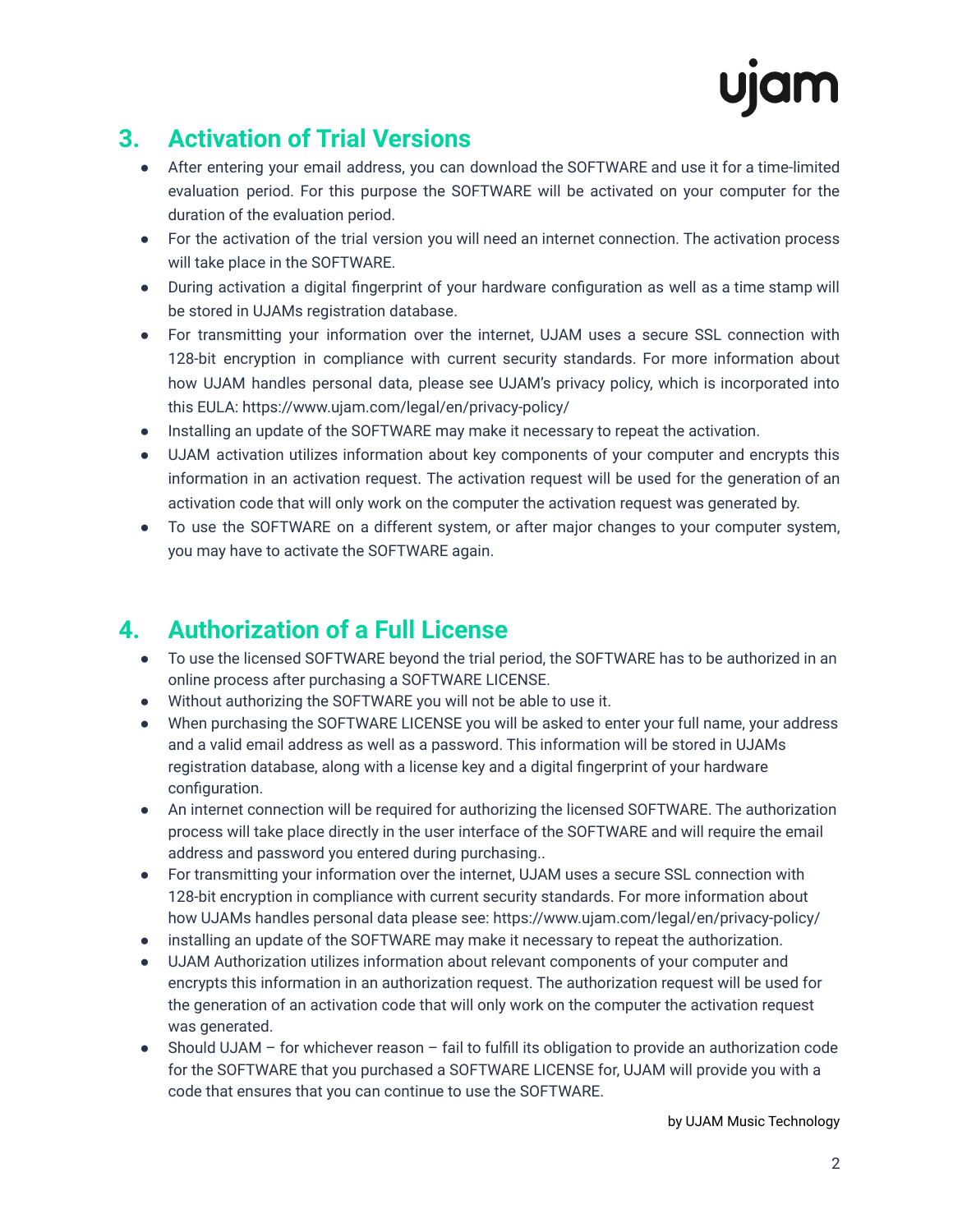# **3. Activation of Trial Versions**

- After entering your email address, you can download the SOFTWARE and use it for a time-limited evaluation period. For this purpose the SOFTWARE will be activated on your computer for the duration of the evaluation period.
- For the activation of the trial version you will need an internet connection. The activation process will take place in the SOFTWARE.
- During activation a digital fingerprint of your hardware configuration as well as a time stamp will be stored in UJAMs registration database.
- For transmitting your information over the internet, UJAM uses a secure SSL connection with 128-bit encryption in compliance with current security standards. For more information about how UJAM handles personal data, please see UJAM's privacy policy, which is incorporated into this EULA: https://www.ujam.com/legal/en/privacy-policy/
- Installing an update of the SOFTWARE may make it necessary to repeat the activation.
- UJAM activation utilizes information about key components of your computer and encrypts this information in an activation request. The activation request will be used for the generation of an activation code that will only work on the computer the activation request was generated by.
- To use the SOFTWARE on a different system, or after major changes to your computer system, you may have to activate the SOFTWARE again.

# **4. Authorization of a Full License**

- To use the licensed SOFTWARE beyond the trial period, the SOFTWARE has to be authorized in an online process after purchasing a SOFTWARE LICENSE.
- Without authorizing the SOFTWARE you will not be able to use it.
- When purchasing the SOFTWARE LICENSE you will be asked to enter your full name, your address and a valid email address as well as a password. This information will be stored in UJAMs registration database, along with a license key and a digital fingerprint of your hardware configuration.
- An internet connection will be required for authorizing the licensed SOFTWARE. The authorization process will take place directly in the user interface of the SOFTWARE and will require the email address and password you entered during purchasing..
- For transmitting your information over the internet, UJAM uses a secure SSL connection with 128-bit encryption in compliance with current security standards. For more information about how UJAMs handles personal data please see: https://www.ujam.com/legal/en/privacy-policy/
- installing an update of the SOFTWARE may make it necessary to repeat the authorization.
- UJAM Authorization utilizes information about relevant components of your computer and encrypts this information in an authorization request. The authorization request will be used for the generation of an activation code that will only work on the computer the activation request was generated.
- Should UJAM for whichever reason fail to fulfill its obligation to provide an authorization code for the SOFTWARE that you purchased a SOFTWARE LICENSE for, UJAM will provide you with a code that ensures that you can continue to use the SOFTWARE.

by UJAM Music Technology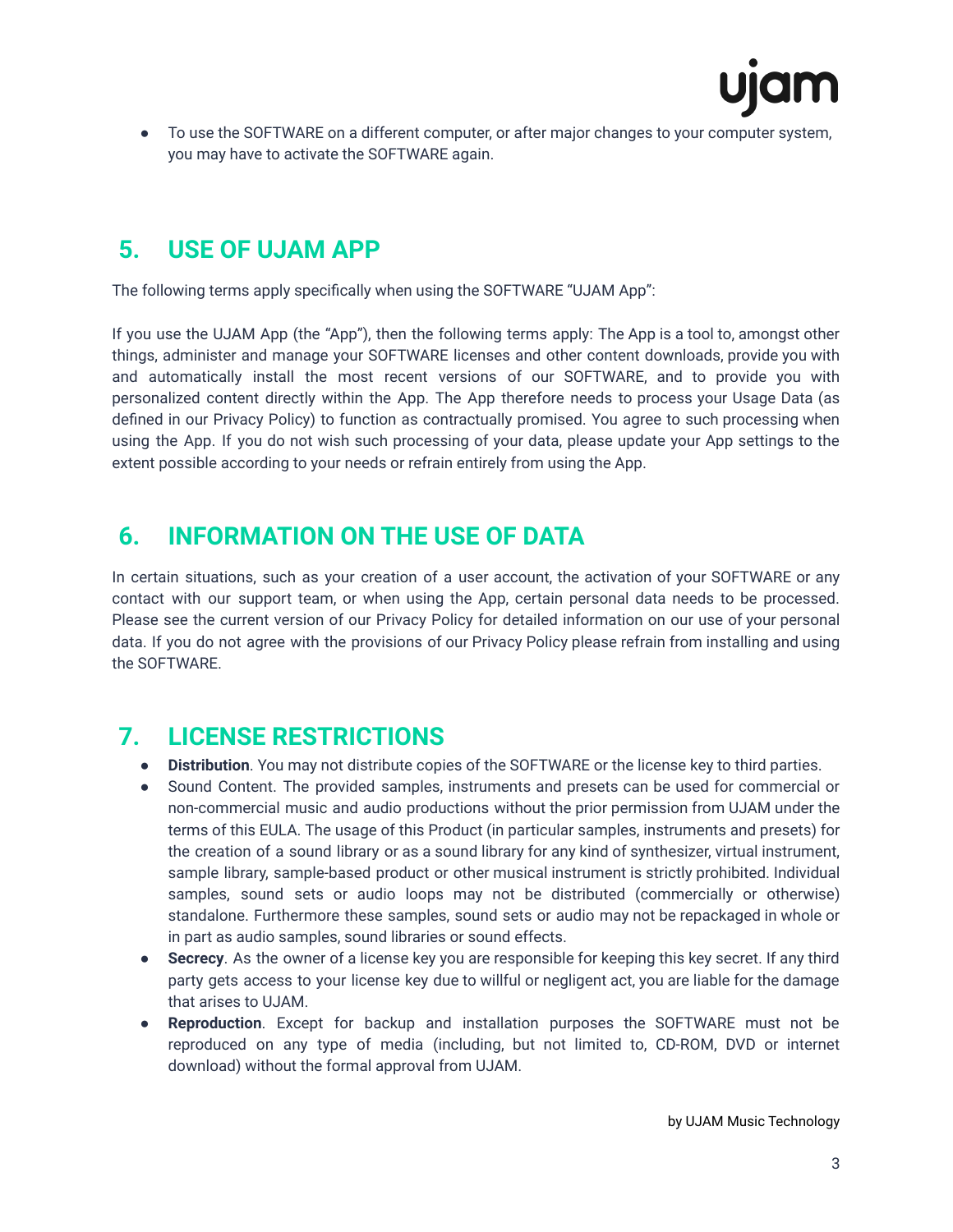

● To use the SOFTWARE on a different computer, or after major changes to your computer system, you may have to activate the SOFTWARE again.

## **5. USE OF UJAM APP**

The following terms apply specifically when using the SOFTWARE "UJAM App":

If you use the UJAM App (the "App"), then the following terms apply: The App is a tool to, amongst other things, administer and manage your SOFTWARE licenses and other content downloads, provide you with and automatically install the most recent versions of our SOFTWARE, and to provide you with personalized content directly within the App. The App therefore needs to process your Usage Data (as defined in our Privacy Policy) to function as contractually promised. You agree to such processing when using the App. If you do not wish such processing of your data, please update your App settings to the extent possible according to your needs or refrain entirely from using the App.

#### **6. INFORMATION ON THE USE OF DATA**

In certain situations, such as your creation of a user account, the activation of your SOFTWARE or any contact with our support team, or when using the App, certain personal data needs to be processed. Please see the current version of our Privacy Policy for detailed information on our use of your personal data. If you do not agree with the provisions of our Privacy Policy please refrain from installing and using the SOFTWARE.

## **7. LICENSE RESTRICTIONS**

- **Distribution**. You may not distribute copies of the SOFTWARE or the license key to third parties.
- Sound Content. The provided samples, instruments and presets can be used for commercial or non-commercial music and audio productions without the prior permission from UJAM under the terms of this EULA. The usage of this Product (in particular samples, instruments and presets) for the creation of a sound library or as a sound library for any kind of synthesizer, virtual instrument, sample library, sample-based product or other musical instrument is strictly prohibited. Individual samples, sound sets or audio loops may not be distributed (commercially or otherwise) standalone. Furthermore these samples, sound sets or audio may not be repackaged in whole or in part as audio samples, sound libraries or sound effects.
- **Secrecy**. As the owner of a license key you are responsible for keeping this key secret. If any third party gets access to your license key due to willful or negligent act, you are liable for the damage that arises to UJAM.
- **Reproduction**. Except for backup and installation purposes the SOFTWARE must not be reproduced on any type of media (including, but not limited to, CD-ROM, DVD or internet download) without the formal approval from UJAM.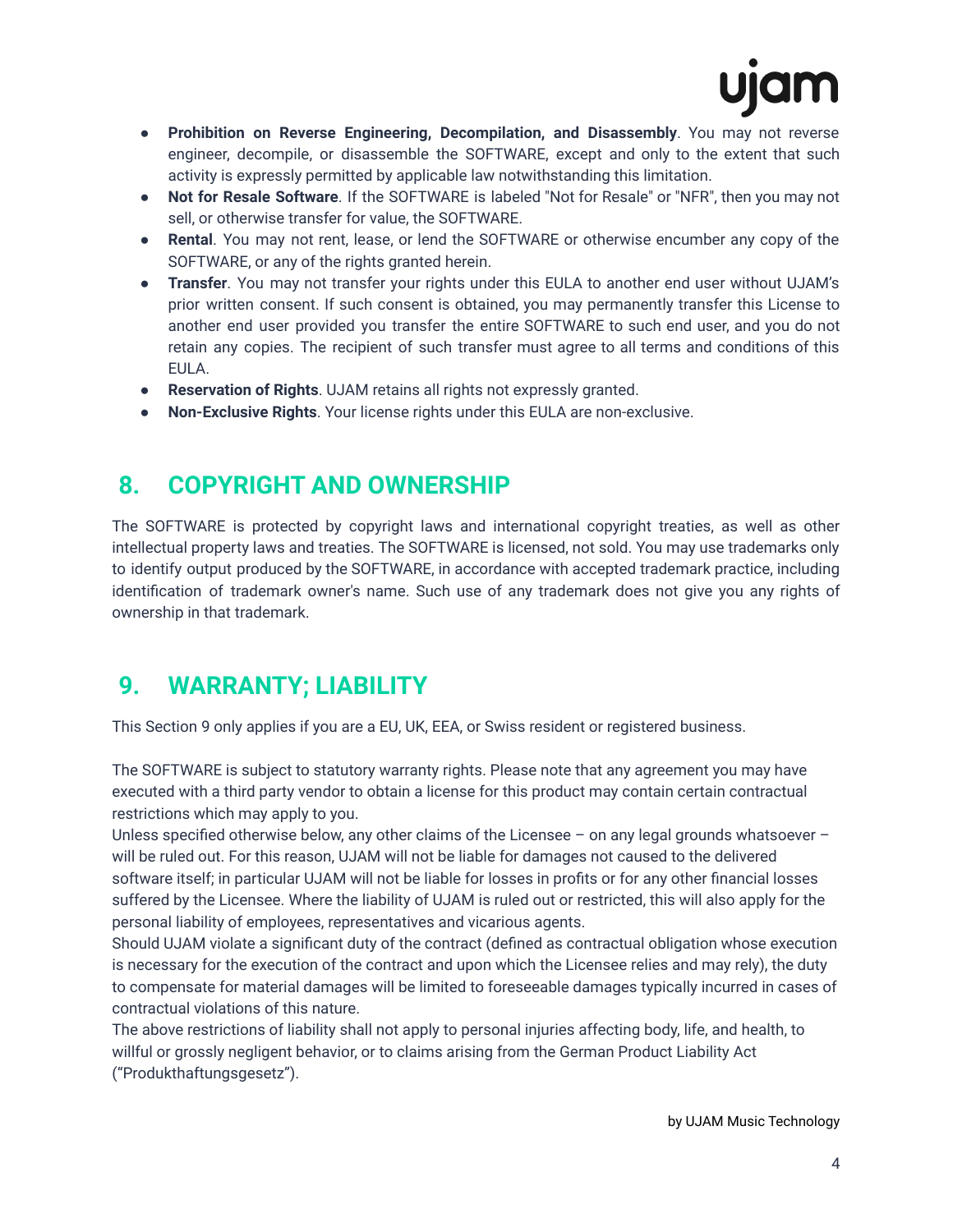- **Prohibition on Reverse Engineering, Decompilation, and Disassembly**. You may not reverse engineer, decompile, or disassemble the SOFTWARE, except and only to the extent that such activity is expressly permitted by applicable law notwithstanding this limitation.
- **Not for Resale Software**. If the SOFTWARE is labeled "Not for Resale" or "NFR", then you may not sell, or otherwise transfer for value, the SOFTWARE.
- **Rental**. You may not rent, lease, or lend the SOFTWARE or otherwise encumber any copy of the SOFTWARE, or any of the rights granted herein.
- **Transfer**. You may not transfer your rights under this EULA to another end user without UJAM's prior written consent. If such consent is obtained, you may permanently transfer this License to another end user provided you transfer the entire SOFTWARE to such end user, and you do not retain any copies. The recipient of such transfer must agree to all terms and conditions of this EULA.
- **Reservation of Rights**. UJAM retains all rights not expressly granted.
- **Non-Exclusive Rights**. Your license rights under this EULA are non-exclusive.

#### **8. COPYRIGHT AND OWNERSHIP**

The SOFTWARE is protected by copyright laws and international copyright treaties, as well as other intellectual property laws and treaties. The SOFTWARE is licensed, not sold. You may use trademarks only to identify output produced by the SOFTWARE, in accordance with accepted trademark practice, including identification of trademark owner's name. Such use of any trademark does not give you any rights of ownership in that trademark.

# **9. WARRANTY; LIABILITY**

This Section 9 only applies if you are a EU, UK, EEA, or Swiss resident or registered business.

The SOFTWARE is subject to statutory warranty rights. Please note that any agreement you may have executed with a third party vendor to obtain a license for this product may contain certain contractual restrictions which may apply to you.

Unless specified otherwise below, any other claims of the Licensee – on any legal grounds whatsoever – will be ruled out. For this reason, UJAM will not be liable for damages not caused to the delivered software itself; in particular UJAM will not be liable for losses in profits or for any other financial losses suffered by the Licensee. Where the liability of UJAM is ruled out or restricted, this will also apply for the personal liability of employees, representatives and vicarious agents.

Should UJAM violate a significant duty of the contract (defined as contractual obligation whose execution is necessary for the execution of the contract and upon which the Licensee relies and may rely), the duty to compensate for material damages will be limited to foreseeable damages typically incurred in cases of contractual violations of this nature.

The above restrictions of liability shall not apply to personal injuries affecting body, life, and health, to willful or grossly negligent behavior, or to claims arising from the German Product Liability Act ("Produkthaftungsgesetz").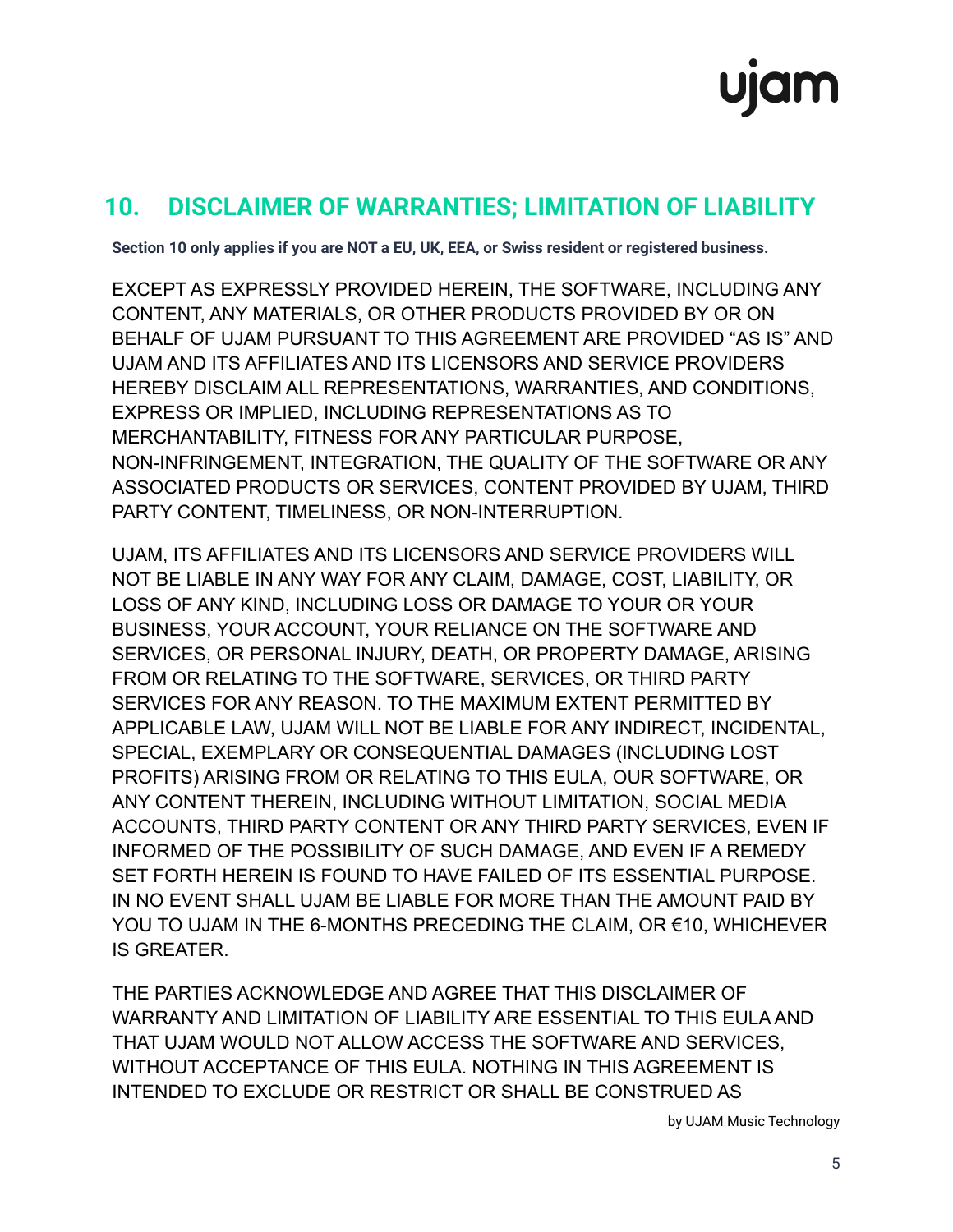## **10. DISCLAIMER OF WARRANTIES; LIMITATION OF LIABILITY**

**Section 10 only applies if you are NOT a EU, UK, EEA, or Swiss resident or registered business.**

EXCEPT AS EXPRESSLY PROVIDED HEREIN, THE SOFTWARE, INCLUDING ANY CONTENT, ANY MATERIALS, OR OTHER PRODUCTS PROVIDED BY OR ON BEHALF OF UJAM PURSUANT TO THIS AGREEMENT ARE PROVIDED "AS IS" AND UJAM AND ITS AFFILIATES AND ITS LICENSORS AND SERVICE PROVIDERS HEREBY DISCLAIM ALL REPRESENTATIONS, WARRANTIES, AND CONDITIONS, EXPRESS OR IMPLIED, INCLUDING REPRESENTATIONS AS TO MERCHANTABILITY, FITNESS FOR ANY PARTICULAR PURPOSE, NON-INFRINGEMENT, INTEGRATION, THE QUALITY OF THE SOFTWARE OR ANY ASSOCIATED PRODUCTS OR SERVICES, CONTENT PROVIDED BY UJAM, THIRD PARTY CONTENT, TIMELINESS, OR NON-INTERRUPTION.

UJAM, ITS AFFILIATES AND ITS LICENSORS AND SERVICE PROVIDERS WILL NOT BE LIABLE IN ANY WAY FOR ANY CLAIM, DAMAGE, COST, LIABILITY, OR LOSS OF ANY KIND, INCLUDING LOSS OR DAMAGE TO YOUR OR YOUR BUSINESS, YOUR ACCOUNT, YOUR RELIANCE ON THE SOFTWARE AND SERVICES, OR PERSONAL INJURY, DEATH, OR PROPERTY DAMAGE, ARISING FROM OR RELATING TO THE SOFTWARE, SERVICES, OR THIRD PARTY SERVICES FOR ANY REASON. TO THE MAXIMUM EXTENT PERMITTED BY APPLICABLE LAW, UJAM WILL NOT BE LIABLE FOR ANY INDIRECT, INCIDENTAL, SPECIAL, EXEMPLARY OR CONSEQUENTIAL DAMAGES (INCLUDING LOST PROFITS) ARISING FROM OR RELATING TO THIS EULA, OUR SOFTWARE, OR ANY CONTENT THEREIN, INCLUDING WITHOUT LIMITATION, SOCIAL MEDIA ACCOUNTS, THIRD PARTY CONTENT OR ANY THIRD PARTY SERVICES, EVEN IF INFORMED OF THE POSSIBILITY OF SUCH DAMAGE, AND EVEN IF A REMEDY SET FORTH HEREIN IS FOUND TO HAVE FAILED OF ITS ESSENTIAL PURPOSE. IN NO EVENT SHALL UJAM BE LIABLE FOR MORE THAN THE AMOUNT PAID BY YOU TO UJAM IN THE 6-MONTHS PRECEDING THE CLAIM, OR €10, WHICHEVER IS GREATER.

THE PARTIES ACKNOWLEDGE AND AGREE THAT THIS DISCLAIMER OF WARRANTY AND LIMITATION OF LIABILITY ARE ESSENTIAL TO THIS EULA AND THAT UJAM WOULD NOT ALLOW ACCESS THE SOFTWARE AND SERVICES, WITHOUT ACCEPTANCE OF THIS EULA. NOTHING IN THIS AGREEMENT IS INTENDED TO EXCLUDE OR RESTRICT OR SHALL BE CONSTRUED AS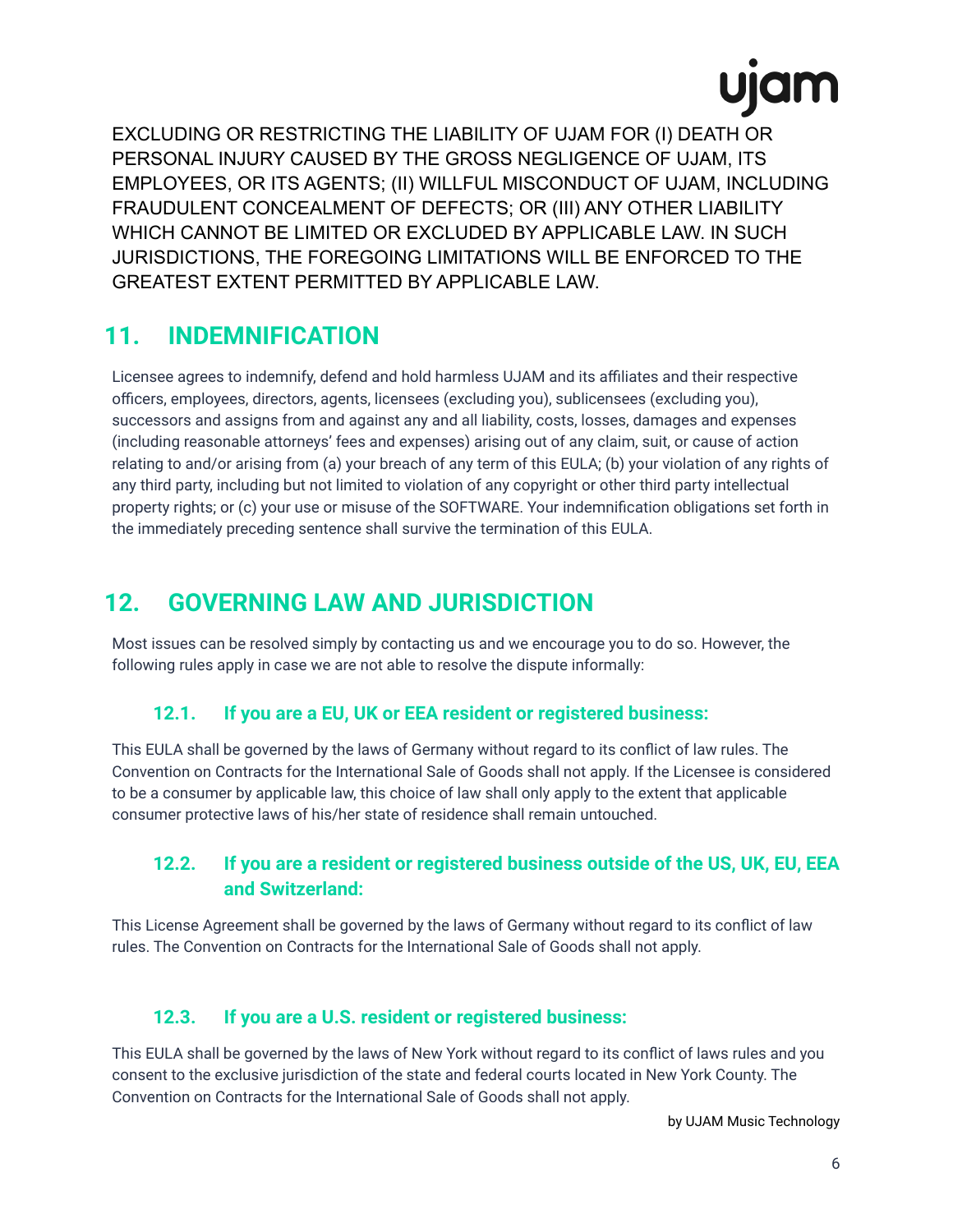EXCLUDING OR RESTRICTING THE LIABILITY OF UJAM FOR (I) DEATH OR PERSONAL INJURY CAUSED BY THE GROSS NEGLIGENCE OF UJAM, ITS EMPLOYEES, OR ITS AGENTS; (II) WILLFUL MISCONDUCT OF UJAM, INCLUDING FRAUDULENT CONCEALMENT OF DEFECTS; OR (III) ANY OTHER LIABILITY WHICH CANNOT BE LIMITED OR EXCLUDED BY APPLICABLE LAW. IN SUCH JURISDICTIONS, THE FOREGOING LIMITATIONS WILL BE ENFORCED TO THE GREATEST EXTENT PERMITTED BY APPLICABLE LAW.

#### **11. INDEMNIFICATION**

Licensee agrees to indemnify, defend and hold harmless UJAM and its affiliates and their respective officers, employees, directors, agents, licensees (excluding you), sublicensees (excluding you), successors and assigns from and against any and all liability, costs, losses, damages and expenses (including reasonable attorneys' fees and expenses) arising out of any claim, suit, or cause of action relating to and/or arising from (a) your breach of any term of this EULA; (b) your violation of any rights of any third party, including but not limited to violation of any copyright or other third party intellectual property rights; or (c) your use or misuse of the SOFTWARE. Your indemnification obligations set forth in the immediately preceding sentence shall survive the termination of this EULA.

## **12. GOVERNING LAW AND JURISDICTION**

Most issues can be resolved simply by contacting us and we encourage you to do so. However, the following rules apply in case we are not able to resolve the dispute informally:

#### **12.1. If you are a EU, UK or EEA resident or registered business:**

This EULA shall be governed by the laws of Germany without regard to its conflict of law rules. The Convention on Contracts for the International Sale of Goods shall not apply. If the Licensee is considered to be a consumer by applicable law, this choice of law shall only apply to the extent that applicable consumer protective laws of his/her state of residence shall remain untouched.

#### **12.2. If you are a resident or registered business outside of the US, UK, EU, EEA and Switzerland:**

This License Agreement shall be governed by the laws of Germany without regard to its conflict of law rules. The Convention on Contracts for the International Sale of Goods shall not apply.

#### **12.3. If you are a U.S. resident or registered business:**

This EULA shall be governed by the laws of New York without regard to its conflict of laws rules and you consent to the exclusive jurisdiction of the state and federal courts located in New York County. The Convention on Contracts for the International Sale of Goods shall not apply.

by UJAM Music Technology